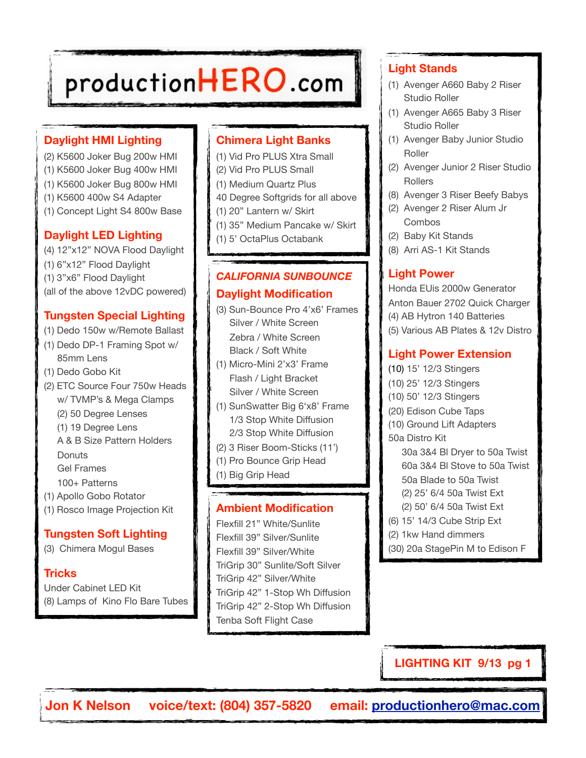# productionHERO.com

# **Daylight HMI Lighting**

- (2) K5600 Joker Bug 200w HMI (1) K5600 Joker Bug 400w HMI (1) K5600 Joker Bug 800w HMI (1) K5600 400w S4 Adapter
- (1) Concept Light S4 800w Base

# **Daylight LED Lighting**

(4) 12"x12" NOVA Flood Daylight (1) 6"x12" Flood Daylight (1) 3"x6" Flood Daylight (all of the above 12vDC powered)

# **Tungsten Special Lighting**

- (1) Dedo 150w w/Remote Ballast
- (1) Dedo DP-1 Framing Spot w/ 85mm Lens
- (1) Dedo Gobo Kit
- (2) ETC Source Four 750w Heads w/ TVMP's & Mega Clamps (2) 50 Degree Lenses (1) 19 Degree Lens A & B Size Pattern Holders **Donuts**  Gel Frames 100+ Patterns
- (1) Apollo Gobo Rotator
- (1) Rosco Image Projection Kit

# **Tungsten Soft Lighting**

(3) Chimera Mogul Bases

# **Tricks**

Under Cabinet LED Kit (8) Lamps of Kino Flo Bare Tubes

# **Chimera Light Banks**

- (1) Vid Pro PLUS Xtra Small
- (2) Vid Pro PLUS Small
- (1) Medium Quartz Plus
- 40 Degree Softgrids for all above
- (1) 20" Lantern w/ Skirt
- (1) 35" Medium Pancake w/ Skirt
- (1) 5' OctaPlus Octabank

# *CALIFORNIA SUNBOUNCE* **Daylight Modification**

- (3) Sun-Bounce Pro 4'x6' Frames Silver / White Screen Zebra / White Screen Black / Soft White
- (1) Micro-Mini 2'x3' Frame Flash / Light Bracket Silver / White Screen
- (1) SunSwatter Big 6'x8' Frame 1/3 Stop White Diffusion 2/3 Stop White Diffusion
- (2) 3 Riser Boom-Sticks (11')
- (1) Pro Bounce Grip Head
- (1) Big Grip Head

# **Ambient Modification**

Flexfill 21" White/Sunlite Flexfill 39" Silver/Sunlite Flexfill 39" Silver/White TriGrip 30" Sunlite/Soft Silver TriGrip 42" Silver/White TriGrip 42" 1-Stop Wh Diffusion TriGrip 42" 2-Stop Wh Diffusion Tenba Soft Flight Case

# **Light Stands**

- (1) Avenger A660 Baby 2 Riser Studio Roller
- (1) Avenger A665 Baby 3 Riser Studio Roller
- (1) Avenger Baby Junior Studio Roller
- (2) Avenger Junior 2 Riser Studio Rollers
- (8) Avenger 3 Riser Beefy Babys
- (2) Avenger 2 Riser Alum Jr Combos
- (2) Baby Kit Stands
- (8) Arri AS-1 Kit Stands

# **Light Power**

Honda EUis 2000w Generator Anton Bauer 2702 Quick Charger (4) AB Hytron 140 Batteries (5) Various AB Plates & 12v Distro

# **Light Power Extension**

(10) 15' 12/3 Stingers

- (10) 25' 12/3 Stingers
- (10) 50' 12/3 Stingers
- (20) Edison Cube Taps
- (10) Ground Lift Adapters
- 50a Distro Kit
	- 30a 3&4 Bl Dryer to 50a Twist 60a 3&4 Bl Stove to 50a Twist 50a Blade to 50a Twist (2) 25' 6/4 50a Twist Ext (2) 50' 6/4 50a Twist Ext
	-
- (6) 15' 14/3 Cube Strip Ext
- (2) 1kw Hand dimmers
- (30) 20a StagePin M to Edison F

**LIGHTING KIT 9/13 pg 1**

**Jon K Nelson voice/text: (804) 357-5820 email: [productionhero@mac.com](mailto:productionhero@mac.com)**